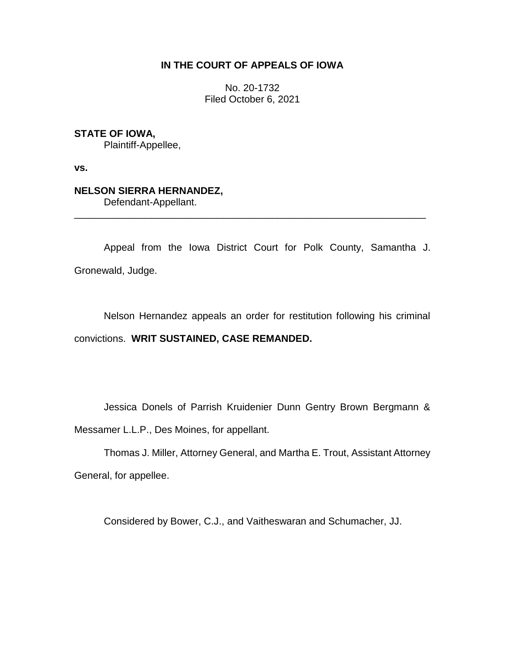## **IN THE COURT OF APPEALS OF IOWA**

No. 20-1732 Filed October 6, 2021

### **STATE OF IOWA,**

Plaintiff-Appellee,

**vs.**

# **NELSON SIERRA HERNANDEZ,**

Defendant-Appellant.

Appeal from the Iowa District Court for Polk County, Samantha J. Gronewald, Judge.

\_\_\_\_\_\_\_\_\_\_\_\_\_\_\_\_\_\_\_\_\_\_\_\_\_\_\_\_\_\_\_\_\_\_\_\_\_\_\_\_\_\_\_\_\_\_\_\_\_\_\_\_\_\_\_\_\_\_\_\_\_\_\_\_

Nelson Hernandez appeals an order for restitution following his criminal convictions. **WRIT SUSTAINED, CASE REMANDED.**

Jessica Donels of Parrish Kruidenier Dunn Gentry Brown Bergmann & Messamer L.L.P., Des Moines, for appellant.

Thomas J. Miller, Attorney General, and Martha E. Trout, Assistant Attorney General, for appellee.

Considered by Bower, C.J., and Vaitheswaran and Schumacher, JJ.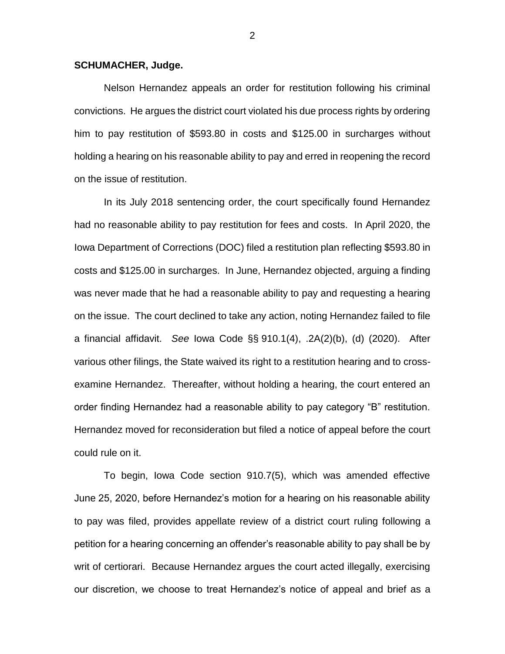### **SCHUMACHER, Judge.**

Nelson Hernandez appeals an order for restitution following his criminal convictions. He argues the district court violated his due process rights by ordering him to pay restitution of \$593.80 in costs and \$125.00 in surcharges without holding a hearing on his reasonable ability to pay and erred in reopening the record on the issue of restitution.

In its July 2018 sentencing order, the court specifically found Hernandez had no reasonable ability to pay restitution for fees and costs. In April 2020, the Iowa Department of Corrections (DOC) filed a restitution plan reflecting \$593.80 in costs and \$125.00 in surcharges. In June, Hernandez objected, arguing a finding was never made that he had a reasonable ability to pay and requesting a hearing on the issue. The court declined to take any action, noting Hernandez failed to file a financial affidavit. *See* Iowa Code §§ 910.1(4), .2A(2)(b), (d) (2020). After various other filings, the State waived its right to a restitution hearing and to crossexamine Hernandez. Thereafter, without holding a hearing, the court entered an order finding Hernandez had a reasonable ability to pay category "B" restitution. Hernandez moved for reconsideration but filed a notice of appeal before the court could rule on it.

To begin, Iowa Code section 910.7(5), which was amended effective June 25, 2020, before Hernandez's motion for a hearing on his reasonable ability to pay was filed, provides appellate review of a district court ruling following a petition for a hearing concerning an offender's reasonable ability to pay shall be by writ of certiorari. Because Hernandez argues the court acted illegally, exercising our discretion, we choose to treat Hernandez's notice of appeal and brief as a